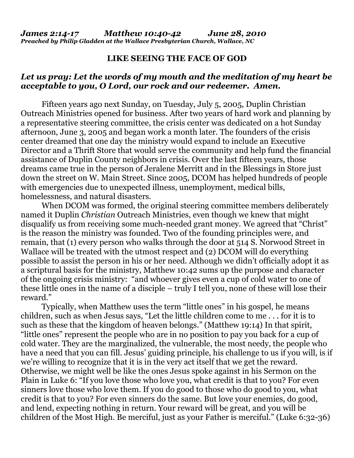## **LIKE SEEING THE FACE OF GOD**

## *Let us pray: Let the words of my mouth and the meditation of my heart be acceptable to you, O Lord, our rock and our redeemer. Amen.*

Fifteen years ago next Sunday, on Tuesday, July 5, 2005, Duplin Christian Outreach Ministries opened for business. After two years of hard work and planning by a representative steering committee, the crisis center was dedicated on a hot Sunday afternoon, June 3, 2005 and began work a month later. The founders of the crisis center dreamed that one day the ministry would expand to include an Executive Director and a Thrift Store that would serve the community and help fund the financial assistance of Duplin County neighbors in crisis. Over the last fifteen years, those dreams came true in the person of Jeralene Merritt and in the Blessings in Store just down the street on W. Main Street. Since 2005, DCOM has helped hundreds of people with emergencies due to unexpected illness, unemployment, medical bills, homelessness, and natural disasters.

When DCOM was formed, the original steering committee members deliberately named it Duplin *Christian* Outreach Ministries, even though we knew that might disqualify us from receiving some much-needed grant money. We agreed that "Christ" is the reason the ministry was founded. Two of the founding principles were, and remain, that (1) every person who walks through the door at 514 S. Norwood Street in Wallace will be treated with the utmost respect and (2) DCOM will do everything possible to assist the person in his or her need. Although we didn't officially adopt it as a scriptural basis for the ministry, Matthew 10:42 sums up the purpose and character of the ongoing crisis ministry: "and whoever gives even a cup of cold water to one of these little ones in the name of a disciple – truly I tell you, none of these will lose their reward."

Typically, when Matthew uses the term "little ones" in his gospel, he means children, such as when Jesus says, "Let the little children come to me . . . for it is to such as these that the kingdom of heaven belongs." (Matthew 19:14) In that spirit, "little ones" represent the people who are in no position to pay you back for a cup of cold water. They are the marginalized, the vulnerable, the most needy, the people who have a need that you can fill. Jesus' guiding principle, his challenge to us if you will, is if we're willing to recognize that it is in the very act itself that we get the reward. Otherwise, we might well be like the ones Jesus spoke against in his Sermon on the Plain in Luke 6: "If you love those who love you, what credit is that to you? For even sinners love those who love them. If you do good to those who do good to you, what credit is that to you? For even sinners do the same. But love your enemies, do good, and lend, expecting nothing in return. Your reward will be great, and you will be children of the Most High. Be merciful, just as your Father is merciful." (Luke 6:32-36)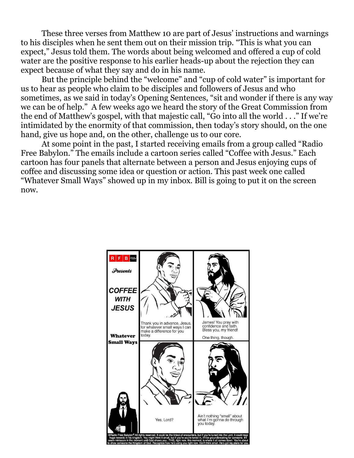These three verses from Matthew 10 are part of Jesus' instructions and warnings to his disciples when he sent them out on their mission trip. "This is what you can expect," Jesus told them. The words about being welcomed and offered a cup of cold water are the positive response to his earlier heads-up about the rejection they can expect because of what they say and do in his name.

But the principle behind the "welcome" and "cup of cold water" is important for us to hear as people who claim to be disciples and followers of Jesus and who sometimes, as we said in today's Opening Sentences, "sit and wonder if there is any way we can be of help." A few weeks ago we heard the story of the Great Commission from the end of Matthew's gospel, with that majestic call, "Go into all the world . . ." If we're intimidated by the enormity of that commission, then today's story should, on the one hand, give us hope and, on the other, challenge us to our core.

At some point in the past, I started receiving emails from a group called "Radio Free Babylon." The emails include a cartoon series called "Coffee with Jesus." Each cartoon has four panels that alternate between a person and Jesus enjoying cups of coffee and discussing some idea or question or action. This past week one called "Whatever Small Ways" showed up in my inbox. Bill is going to put it on the screen now.

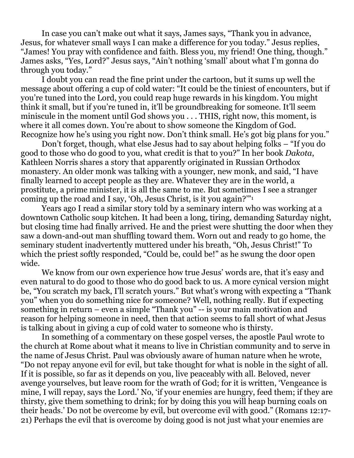In case you can't make out what it says, James says, "Thank you in advance, Jesus, for whatever small ways I can make a difference for you today." Jesus replies, "James! You pray with confidence and faith. Bless you, my friend! One thing, though." James asks, "Yes, Lord?" Jesus says, "Ain't nothing 'small' about what I'm gonna do through you today."

I doubt you can read the fine print under the cartoon, but it sums up well the message about offering a cup of cold water: "It could be the tiniest of encounters, but if you're tuned into the Lord, you could reap huge rewards in his kingdom. You might think it small, but if you're tuned in, it'll be groundbreaking for someone. It'll seem miniscule in the moment until God shows you . . . THIS, right now, this moment, is where it all comes down. You're about to show someone the Kingdom of God. Recognize how he's using you right now. Don't think small. He's got big plans for you."

Don't forget, though, what else Jesus had to say about helping folks – "If you do good to those who do good to you, what credit is that to you?" In her book *Dakota*, Kathleen Norris shares a story that apparently originated in Russian Orthodox monastery. An older monk was talking with a younger, new monk, and said, "I have finally learned to accept people as they are. Whatever they are in the world, a prostitute, a prime minister, it is all the same to me. But sometimes I see a stranger coming up the road and I say, 'Oh, Jesus Christ, is it you again?'"<sup>1</sup>

Years ago I read a similar story told by a seminary intern who was working at a downtown Catholic soup kitchen. It had been a long, tiring, demanding Saturday night, but closing time had finally arrived. He and the priest were shutting the door when they saw a down-and-out man shuffling toward them. Worn out and ready to go home, the seminary student inadvertently muttered under his breath, "Oh, Jesus Christ!" To which the priest softly responded, "Could be, could be!" as he swung the door open wide.

We know from our own experience how true Jesus' words are, that it's easy and even natural to do good to those who do good back to us. A more cynical version might be, "You scratch my back, I'll scratch yours." But what's wrong with expecting a "Thank you" when you do something nice for someone? Well, nothing really. But if expecting something in return – even a simple "Thank you" -- is your main motivation and reason for helping someone in need, then that action seems to fall short of what Jesus is talking about in giving a cup of cold water to someone who is thirsty.

In something of a commentary on these gospel verses, the apostle Paul wrote to the church at Rome about what it means to live in Christian community and to serve in the name of Jesus Christ. Paul was obviously aware of human nature when he wrote, "Do not repay anyone evil for evil, but take thought for what is noble in the sight of all. If it is possible, so far as it depends on you, live peaceably with all. Beloved, never avenge yourselves, but leave room for the wrath of God; for it is written, 'Vengeance is mine, I will repay, says the Lord.' No, 'if your enemies are hungry, feed them; if they are thirsty, give them something to drink; for by doing this you will heap burning coals on their heads.' Do not be overcome by evil, but overcome evil with good." (Romans 12:17- 21) Perhaps the evil that is overcome by doing good is not just what your enemies are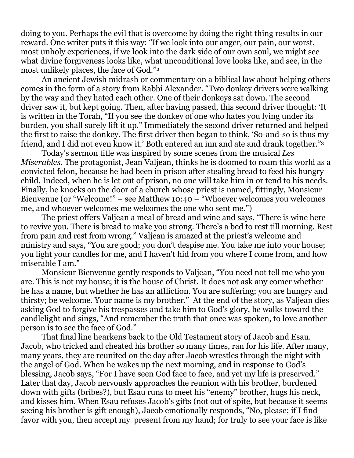doing to you. Perhaps the evil that is overcome by doing the right thing results in our reward. One writer puts it this way: "If we look into our anger, our pain, our worst, most unholy experiences, if we look into the dark side of our own soul, we might see what divine forgiveness looks like, what unconditional love looks like, and see, in the most unlikely places, the face of God."<sup>2</sup>

An ancient Jewish midrash or commentary on a biblical law about helping others comes in the form of a story from Rabbi Alexander. "Two donkey drivers were walking by the way and they hated each other. One of their donkeys sat down. The second driver saw it, but kept going. Then, after having passed, this second driver thought: 'It is written in the Torah, "If you see the donkey of one who hates you lying under its burden, you shall surely lift it up." Immediately the second driver returned and helped the first to raise the donkey. The first driver then began to think, 'So-and-so is thus my friend, and I did not even know it.' Both entered an inn and ate and drank together."<sup>3</sup>

Today's sermon title was inspired by some scenes from the musical *Les Miserables*. The protagonist, Jean Valjean, thinks he is doomed to roam this world as a convicted felon, because he had been in prison after stealing bread to feed his hungry child. Indeed, when he is let out of prison, no one will take him in or tend to his needs. Finally, he knocks on the door of a church whose priest is named, fittingly, Monsieur Bienvenue (or "Welcome!" – see Matthew 10:40 – "Whoever welcomes you welcomes me, and whoever welcomes me welcomes the one who sent me.")

The priest offers Valjean a meal of bread and wine and says, "There is wine here to revive you. There is bread to make you strong. There's a bed to rest till morning. Rest from pain and rest from wrong." Valjean is amazed at the priest's welcome and ministry and says, "You are good; you don't despise me. You take me into your house; you light your candles for me, and I haven't hid from you where I come from, and how miserable I am."

Monsieur Bienvenue gently responds to Valjean, "You need not tell me who you are. This is not my house; it is the house of Christ. It does not ask any comer whether he has a name, but whether he has an affliction. You are suffering; you are hungry and thirsty; be welcome. Your name is my brother." At the end of the story, as Valjean dies asking God to forgive his trespasses and take him to God's glory, he walks toward the candlelight and sings, "And remember the truth that once was spoken, to love another person is to see the face of God."

That final line hearkens back to the Old Testament story of Jacob and Esau. Jacob, who tricked and cheated his brother so many times, ran for his life. After many, many years, they are reunited on the day after Jacob wrestles through the night with the angel of God. When he wakes up the next morning, and in response to God's blessing, Jacob says, "For I have seen God face to face, and yet my life is preserved." Later that day, Jacob nervously approaches the reunion with his brother, burdened down with gifts (bribes?), but Esau runs to meet his "enemy" brother, hugs his neck, and kisses him. When Esau refuses Jacob's gifts (not out of spite, but because it seems seeing his brother is gift enough), Jacob emotionally responds, "No, please; if I find favor with you, then accept my present from my hand; for truly to see your face is like